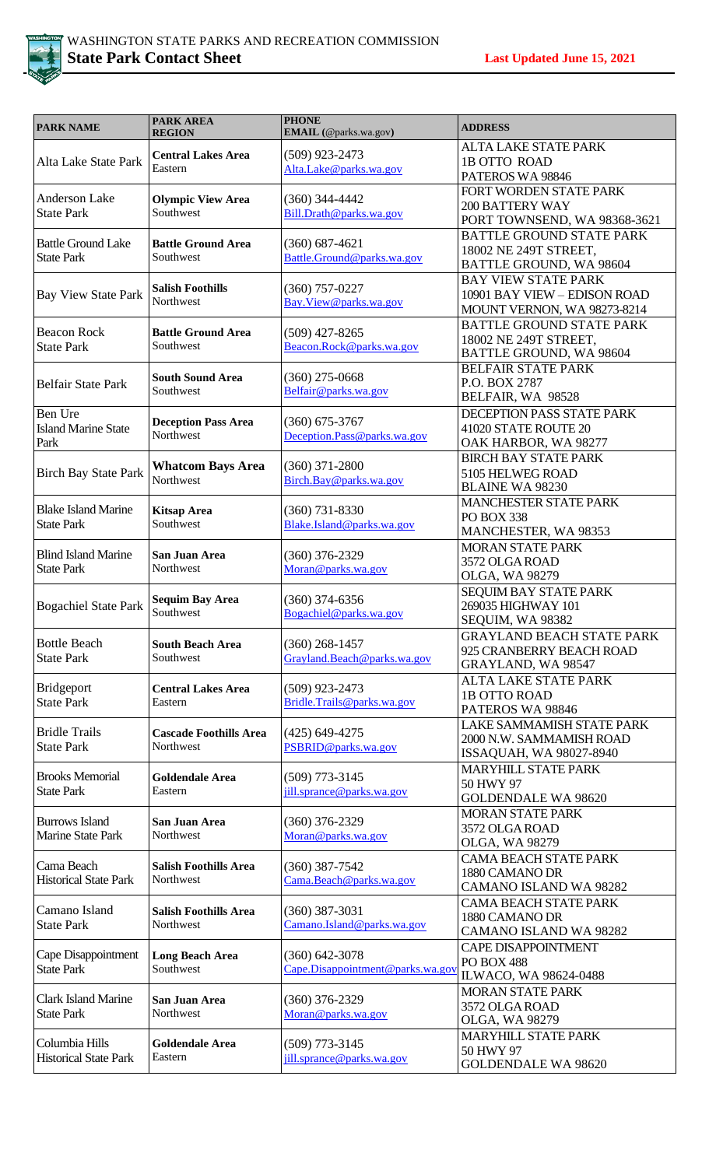

| <b>PARK NAME</b>                                | <b>PARK AREA</b><br><b>REGION</b>          | <b>PHONE</b><br>EMAIL (@parks.wa.gov)                | <b>ADDRESS</b>                                                                            |
|-------------------------------------------------|--------------------------------------------|------------------------------------------------------|-------------------------------------------------------------------------------------------|
| Alta Lake State Park                            | <b>Central Lakes Area</b><br>Eastern       | $(509)$ 923-2473<br>Alta.Lake@parks.wa.gov           | <b>ALTA LAKE STATE PARK</b><br>1B OTTO ROAD<br>PATEROS WA 98846                           |
| <b>Anderson Lake</b><br><b>State Park</b>       | <b>Olympic View Area</b><br>Southwest      | $(360)$ 344-4442<br>Bill.Drath@parks.wa.gov          | FORT WORDEN STATE PARK<br><b>200 BATTERY WAY</b><br>PORT TOWNSEND, WA 98368-3621          |
| <b>Battle Ground Lake</b><br><b>State Park</b>  | <b>Battle Ground Area</b><br>Southwest     | $(360) 687 - 4621$<br>Battle.Ground@parks.wa.gov     | <b>BATTLE GROUND STATE PARK</b><br>18002 NE 249T STREET,<br>BATTLE GROUND, WA 98604       |
| <b>Bay View State Park</b>                      | <b>Salish Foothills</b><br>Northwest       | $(360)$ 757-0227<br>Bay.View@parks.wa.gov            | <b>BAY VIEW STATE PARK</b><br>10901 BAY VIEW - EDISON ROAD<br>MOUNT VERNON, WA 98273-8214 |
| <b>Beacon Rock</b><br><b>State Park</b>         | <b>Battle Ground Area</b><br>Southwest     | $(509)$ 427-8265<br>Beacon.Rock@parks.wa.gov         | <b>BATTLE GROUND STATE PARK</b><br>18002 NE 249T STREET,<br>BATTLE GROUND, WA 98604       |
| <b>Belfair State Park</b>                       | <b>South Sound Area</b><br>Southwest       | $(360)$ 275-0668<br>Belfair@parks.wa.gov             | <b>BELFAIR STATE PARK</b><br>P.O. BOX 2787<br>BELFAIR, WA 98528                           |
| Ben Ure<br><b>Island Marine State</b><br>Park   | <b>Deception Pass Area</b><br>Northwest    | $(360)$ 675-3767<br>Deception.Pass@parks.wa.gov      | DECEPTION PASS STATE PARK<br>41020 STATE ROUTE 20<br>OAK HARBOR, WA 98277                 |
| <b>Birch Bay State Park</b>                     | <b>Whatcom Bays Area</b><br>Northwest      | $(360)$ 371-2800<br>Birch.Bay@parks.wa.gov           | <b>BIRCH BAY STATE PARK</b><br>5105 HELWEG ROAD<br><b>BLAINE WA 98230</b>                 |
| <b>Blake Island Marine</b><br><b>State Park</b> | <b>Kitsap Area</b><br>Southwest            | $(360)$ 731-8330<br>Blake.Island@parks.wa.gov        | <b>MANCHESTER STATE PARK</b><br>PO BOX 338<br>MANCHESTER, WA 98353                        |
| <b>Blind Island Marine</b><br><b>State Park</b> | San Juan Area<br>Northwest                 | $(360)$ 376-2329<br>Moran@parks.wa.gov               | <b>MORAN STATE PARK</b><br>3572 OLGA ROAD<br>OLGA, WA 98279                               |
| <b>Bogachiel State Park</b>                     | <b>Sequim Bay Area</b><br>Southwest        | $(360)$ 374-6356<br>Bogachiel@parks.wa.gov           | SEQUIM BAY STATE PARK<br>269035 HIGHWAY 101<br>SEQUIM, WA 98382                           |
| <b>Bottle Beach</b><br><b>State Park</b>        | <b>South Beach Area</b><br>Southwest       | $(360)$ 268-1457<br>Grayland.Beach@parks.wa.gov      | <b>GRAYLAND BEACH STATE PARK</b><br>925 CRANBERRY BEACH ROAD<br>GRAYLAND, WA 98547        |
| Bridgeport<br><b>State Park</b>                 | <b>Central Lakes Area</b><br>Eastern       | $(509)$ 923-2473<br>Bridle.Trails@parks.wa.gov       | <b>ALTA LAKE STATE PARK</b><br>1B OTTO ROAD<br>PATEROS WA 98846                           |
| <b>Bridle Trails</b><br><b>State Park</b>       | <b>Cascade Foothills Area</b><br>Northwest | $(425)$ 649-4275<br>PSBRID@parks.wa.gov              | LAKE SAMMAMISH STATE PARK<br>2000 N.W. SAMMAMISH ROAD<br>ISSAQUAH, WA 98027-8940          |
| <b>Brooks Memorial</b><br><b>State Park</b>     | <b>Goldendale Area</b><br>Eastern          | $(509)$ 773-3145<br>jill.sprance@parks.wa.gov        | <b>MARYHILL STATE PARK</b><br>50 HWY 97<br><b>GOLDENDALE WA 98620</b>                     |
| <b>Burrows Island</b><br>Marine State Park      | San Juan Area<br>Northwest                 | $(360)$ 376-2329<br>Moran@parks.wa.gov               | <b>MORAN STATE PARK</b><br>3572 OLGA ROAD<br>OLGA, WA 98279                               |
| Cama Beach<br><b>Historical State Park</b>      | <b>Salish Foothills Area</b><br>Northwest  | $(360)$ 387-7542<br>Cama.Beach@parks.wa.gov          | <b>CAMA BEACH STATE PARK</b><br>1880 CAMANO DR<br>CAMANO ISLAND WA 98282                  |
| Camano Island<br><b>State Park</b>              | <b>Salish Foothills Area</b><br>Northwest  | $(360)$ 387-3031<br>Camano.Island@parks.wa.gov       | <b>CAMA BEACH STATE PARK</b><br>1880 CAMANO DR<br>CAMANO ISLAND WA 98282                  |
| Cape Disappointment<br><b>State Park</b>        | <b>Long Beach Area</b><br>Southwest        | $(360)$ 642-3078<br>Cape.Disappointment@parks.wa.gov | <b>CAPE DISAPPOINTMENT</b><br><b>PO BOX 488</b><br>ILWACO, WA 98624-0488                  |
| <b>Clark Island Marine</b><br><b>State Park</b> | San Juan Area<br>Northwest                 | $(360)$ 376-2329<br>Moran@parks.wa.gov               | <b>MORAN STATE PARK</b><br>3572 OLGA ROAD<br>OLGA, WA 98279                               |
| Columbia Hills<br><b>Historical State Park</b>  | <b>Goldendale Area</b><br>Eastern          | $(509)$ 773-3145<br>jill.sprance@parks.wa.gov        | <b>MARYHILL STATE PARK</b><br>50 HWY 97<br><b>GOLDENDALE WA 98620</b>                     |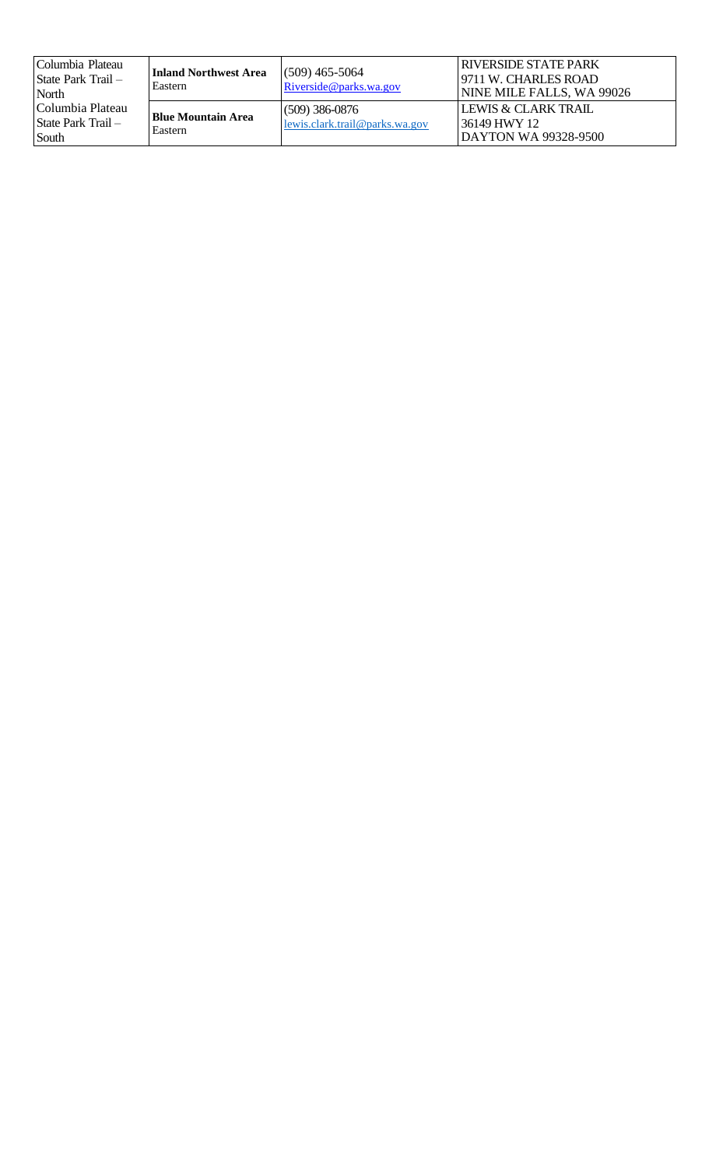| Columbia Plateau<br>State Park Trail –<br>North | <b>Inland Northwest Area</b><br>Eastern | $(509)$ 465-5064<br>Riverside@parks.wa.gov            | RIVERSIDE STATE PARK<br>19711 W. CHARLES ROAD<br>NINE MILE FALLS, WA 99026 |
|-------------------------------------------------|-----------------------------------------|-------------------------------------------------------|----------------------------------------------------------------------------|
| Columbia Plateau<br>State Park Trail -<br>South | Blue Mountain Area<br>Eastern           | $(509)$ 386-0876<br>$lewis.class.$ trail@parks.wa.gov | LEWIS & CLARK TRAIL<br>36149 HWY 12<br>DAYTON WA 99328-9500                |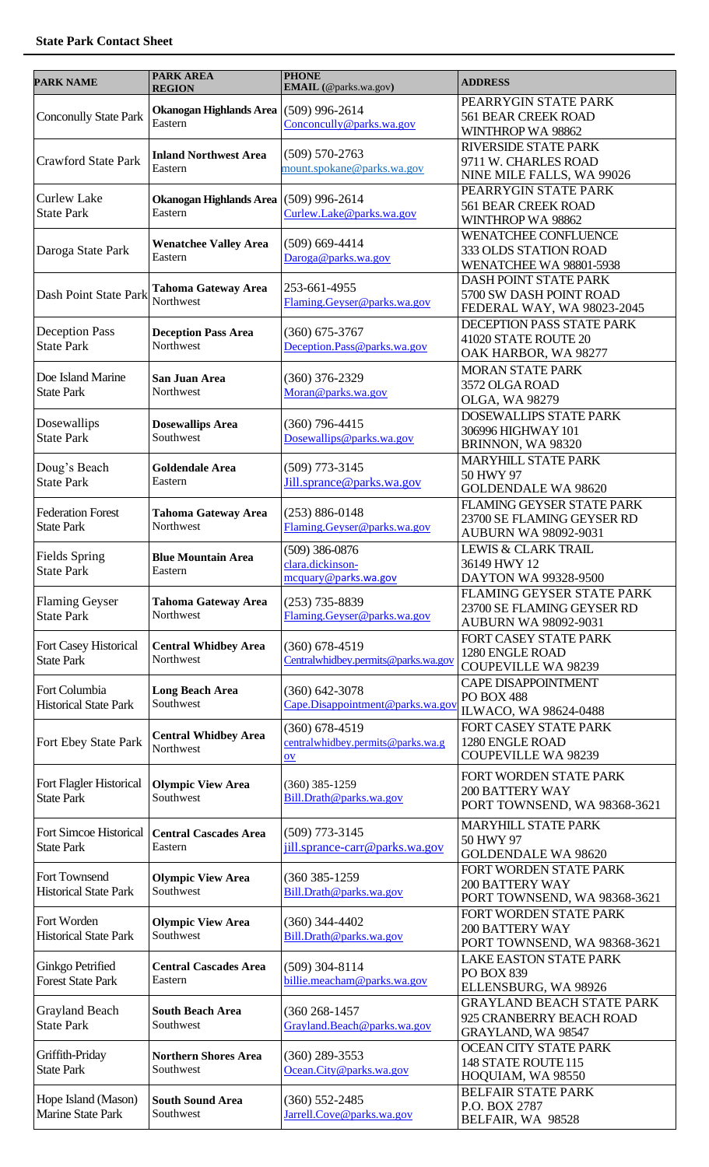| <b>PARK NAME</b>                              | <b>PARK AREA</b><br><b>REGION</b>                         | <b>PHONE</b><br>EMAIL (@parks.wa.gov)                                    | <b>ADDRESS</b>                                                                         |
|-----------------------------------------------|-----------------------------------------------------------|--------------------------------------------------------------------------|----------------------------------------------------------------------------------------|
| <b>Conconully State Park</b>                  | Okanogan Highlands Area (509) 996-2614<br>Eastern         | Conconcully@parks.wa.gov                                                 | PEARRYGIN STATE PARK<br><b>561 BEAR CREEK ROAD</b><br>WINTHROP WA 98862                |
| <b>Crawford State Park</b>                    | <b>Inland Northwest Area</b><br>Eastern                   | $(509) 570 - 2763$<br>mount.spokane@parks.wa.gov                         | <b>RIVERSIDE STATE PARK</b><br>9711 W. CHARLES ROAD<br>NINE MILE FALLS, WA 99026       |
| <b>Curlew Lake</b><br><b>State Park</b>       | Okanogan Highlands Area<br>Eastern                        | $(509)$ 996-2614<br>Curlew.Lake@parks.wa.gov                             | PEARRYGIN STATE PARK<br><b>561 BEAR CREEK ROAD</b><br>WINTHROP WA 98862                |
| Daroga State Park                             | <b>Wenatchee Valley Area</b><br>Eastern                   | $(509)$ 669-4414<br>Daroga@parks.wa.gov                                  | WENATCHEE CONFLUENCE<br>333 OLDS STATION ROAD<br>WENATCHEE WA 98801-5938               |
| Dash Point State Park                         | <b>Tahoma Gateway Area</b><br>Northwest                   | 253-661-4955<br>Flaming.Geyser@parks.wa.gov                              | DASH POINT STATE PARK<br>5700 SW DASH POINT ROAD<br>FEDERAL WAY, WA 98023-2045         |
| <b>Deception Pass</b><br><b>State Park</b>    | <b>Deception Pass Area</b><br>Northwest                   | $(360)$ 675-3767<br>Deception.Pass@parks.wa.gov                          | DECEPTION PASS STATE PARK<br>41020 STATE ROUTE 20<br>OAK HARBOR, WA 98277              |
| Doe Island Marine<br><b>State Park</b>        | San Juan Area<br>Northwest                                | $(360)$ 376-2329<br>Moran@parks.wa.gov                                   | <b>MORAN STATE PARK</b><br>3572 OLGA ROAD<br>OLGA, WA 98279                            |
| Dosewallips<br><b>State Park</b>              | <b>Dosewallips Area</b><br>Southwest                      | $(360)$ 796-4415<br>Dosewallips@parks.wa.gov                             | DOSEWALLIPS STATE PARK<br>306996 HIGHWAY 101<br>BRINNON, WA 98320                      |
| Doug's Beach<br><b>State Park</b>             | <b>Goldendale Area</b><br>Eastern                         | $(509)$ 773-3145<br>Jill.sprance@parks.wa.gov                            | <b>MARYHILL STATE PARK</b><br>50 HWY 97<br><b>GOLDENDALE WA 98620</b>                  |
| <b>Federation Forest</b><br><b>State Park</b> | <b>Tahoma Gateway Area</b><br>Northwest                   | $(253) 886 - 0148$<br>Flaming.Geyser@parks.wa.gov                        | FLAMING GEYSER STATE PARK<br>23700 SE FLAMING GEYSER RD<br><b>AUBURN WA 98092-9031</b> |
| Fields Spring<br><b>State Park</b>            | <b>Blue Mountain Area</b><br>Eastern                      | $(509)$ 386-0876<br>clara.dickinson-<br>mcquary@parks.wa.gov             | LEWIS & CLARK TRAIL<br>36149 HWY 12<br>DAYTON WA 99328-9500                            |
| <b>Flaming Geyser</b><br><b>State Park</b>    | <b>Tahoma Gateway Area</b><br>Northwest                   | $(253)$ 735-8839<br>Flaming.Geyser@parks.wa.gov                          | FLAMING GEYSER STATE PARK<br>23700 SE FLAMING GEYSER RD<br><b>AUBURN WA 98092-9031</b> |
| Fort Casey Historical<br><b>State Park</b>    | <b>Central Whidbey Area</b><br>Northwest                  | $(360) 678 - 4519$<br>Centralwhidbey.permits@parks.wa.gov                | FORT CASEY STATE PARK<br>1280 ENGLE ROAD<br><b>COUPEVILLE WA 98239</b>                 |
| Fort Columbia<br><b>Historical State Park</b> | <b>Long Beach Area</b><br>Southwest                       | $(360)$ 642-3078<br>Cape.Disappointment@parks.wa.gov                     | <b>CAPE DISAPPOINTMENT</b><br><b>PO BOX 488</b><br>ILWACO, WA 98624-0488               |
| Fort Ebey State Park                          | <b>Central Whidbey Area</b><br>Northwest                  | $(360)$ 678-4519<br>centralwhidbey.permits@parks.wa.g<br>$\overline{ov}$ | FORT CASEY STATE PARK<br>1280 ENGLE ROAD<br><b>COUPEVILLE WA 98239</b>                 |
| Fort Flagler Historical<br><b>State Park</b>  | <b>Olympic View Area</b><br>Southwest                     | $(360)$ 385-1259<br>Bill.Drath@parks.wa.gov                              | FORT WORDEN STATE PARK<br><b>200 BATTERY WAY</b><br>PORT TOWNSEND, WA 98368-3621       |
| <b>State Park</b>                             | Fort Simcoe Historical   Central Cascades Area<br>Eastern | $(509)$ 773-3145<br>jill.sprance-carr@parks.wa.gov                       | <b>MARYHILL STATE PARK</b><br>50 HWY 97<br><b>GOLDENDALE WA 98620</b>                  |
| Fort Townsend<br><b>Historical State Park</b> | <b>Olympic View Area</b><br>Southwest                     | (360 385-1259)<br>Bill.Drath@parks.wa.gov                                | FORT WORDEN STATE PARK<br><b>200 BATTERY WAY</b><br>PORT TOWNSEND, WA 98368-3621       |
| Fort Worden<br><b>Historical State Park</b>   | <b>Olympic View Area</b><br>Southwest                     | $(360)$ 344-4402<br>Bill.Drath@parks.wa.gov                              | FORT WORDEN STATE PARK<br><b>200 BATTERY WAY</b><br>PORT TOWNSEND, WA 98368-3621       |
| Ginkgo Petrified<br><b>Forest State Park</b>  | <b>Central Cascades Area</b><br>Eastern                   | $(509)$ 304-8114<br>billie.meacham@parks.wa.gov                          | <b>LAKE EASTON STATE PARK</b><br>PO BOX 839<br>ELLENSBURG, WA 98926                    |
| Grayland Beach<br><b>State Park</b>           | <b>South Beach Area</b><br>Southwest                      | (360 268-1457<br>Grayland.Beach@parks.wa.gov                             | <b>GRAYLAND BEACH STATE PARK</b><br>925 CRANBERRY BEACH ROAD<br>GRAYLAND, WA 98547     |
| Griffith-Priday<br><b>State Park</b>          | <b>Northern Shores Area</b><br>Southwest                  | $(360)$ 289-3553<br>Ocean.City@parks.wa.gov                              | <b>OCEAN CITY STATE PARK</b><br>148 STATE ROUTE 115<br>HOQUIAM, WA 98550               |
| Hope Island (Mason)<br>Marine State Park      | <b>South Sound Area</b><br>Southwest                      | $(360) 552 - 2485$<br>Jarrell.Cove@parks.wa.gov                          | BELFAIR STATE PARK<br>P.O. BOX 2787<br>BELFAIR, WA 98528                               |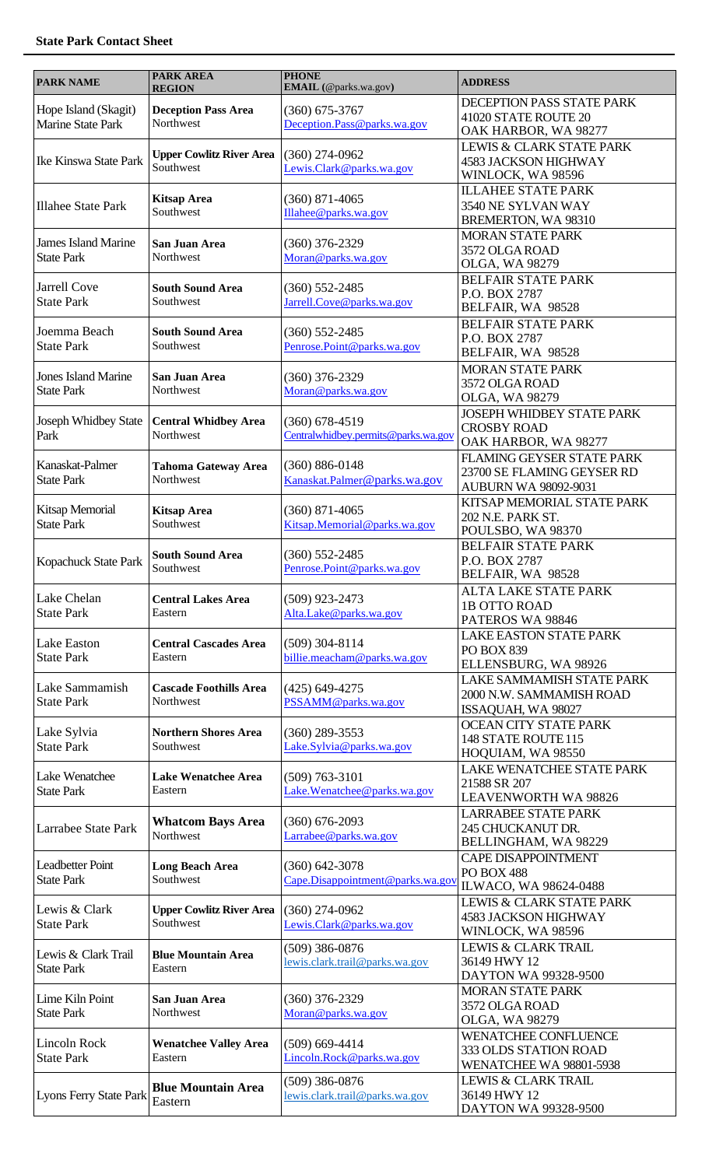| <b>PARK NAME</b>                                 | <b>PARK AREA</b><br><b>REGION</b>            | <b>PHONE</b><br>EMAIL (@parks.wa.gov)                   | <b>ADDRESS</b>                                                                          |
|--------------------------------------------------|----------------------------------------------|---------------------------------------------------------|-----------------------------------------------------------------------------------------|
| Hope Island (Skagit)<br><b>Marine State Park</b> | <b>Deception Pass Area</b><br>Northwest      | $(360)$ 675-3767<br>Deception.Pass@parks.wa.gov         | DECEPTION PASS STATE PARK<br>41020 STATE ROUTE 20<br>OAK HARBOR, WA 98277               |
| Ike Kinswa State Park                            | <b>Upper Cowlitz River Area</b><br>Southwest | $(360)$ 274-0962<br>Lewis.Clark@parks.wa.gov            | <b>LEWIS &amp; CLARK STATE PARK</b><br><b>4583 JACKSON HIGHWAY</b><br>WINLOCK, WA 98596 |
| <b>Illahee State Park</b>                        | <b>Kitsap Area</b><br>Southwest              | $(360)$ 871-4065<br>Illahee@parks.wa.gov                | <b>ILLAHEE STATE PARK</b><br>3540 NE SYLVAN WAY<br>BREMERTON, WA 98310                  |
| <b>James Island Marine</b><br><b>State Park</b>  | San Juan Area<br>Northwest                   | $(360)$ 376-2329<br>Moran@parks.wa.gov                  | <b>MORAN STATE PARK</b><br>3572 OLGA ROAD<br>OLGA, WA 98279                             |
| <b>Jarrell Cove</b><br><b>State Park</b>         | <b>South Sound Area</b><br>Southwest         | $(360)$ 552-2485<br>Jarrell.Cove@parks.wa.gov           | <b>BELFAIR STATE PARK</b><br>P.O. BOX 2787<br>BELFAIR, WA 98528                         |
| Joemma Beach<br><b>State Park</b>                | <b>South Sound Area</b><br>Southwest         | $(360)$ 552-2485<br>Penrose.Point@parks.wa.gov          | <b>BELFAIR STATE PARK</b><br>P.O. BOX 2787<br>BELFAIR, WA 98528                         |
| <b>Jones Island Marine</b><br><b>State Park</b>  | San Juan Area<br>Northwest                   | $(360)$ 376-2329<br>Moran@parks.wa.gov                  | <b>MORAN STATE PARK</b><br>3572 OLGA ROAD<br>OLGA, WA 98279                             |
| Joseph Whidbey State<br>Park                     | <b>Central Whidbey Area</b><br>Northwest     | $(360)$ 678-4519<br>Centralwhidbey.permits@parks.wa.gov | <b>JOSEPH WHIDBEY STATE PARK</b><br><b>CROSBY ROAD</b><br>OAK HARBOR, WA 98277          |
| Kanaskat-Palmer<br><b>State Park</b>             | <b>Tahoma Gateway Area</b><br>Northwest      | $(360) 886 - 0148$<br>Kanaskat.Palmer@parks.wa.gov      | FLAMING GEYSER STATE PARK<br>23700 SE FLAMING GEYSER RD<br><b>AUBURN WA 98092-9031</b>  |
| Kitsap Memorial<br><b>State Park</b>             | <b>Kitsap Area</b><br>Southwest              | $(360)$ 871-4065<br>Kitsap.Memorial@parks.wa.gov        | KITSAP MEMORIAL STATE PARK<br>202 N.E. PARK ST.<br>POULSBO, WA 98370                    |
| Kopachuck State Park                             | <b>South Sound Area</b><br>Southwest         | $(360)$ 552-2485<br>Penrose.Point@parks.wa.gov          | <b>BELFAIR STATE PARK</b><br>P.O. BOX 2787<br>BELFAIR, WA 98528                         |
| Lake Chelan<br><b>State Park</b>                 | <b>Central Lakes Area</b><br>Eastern         | $(509)$ 923-2473<br>Alta.Lake@parks.wa.gov              | <b>ALTA LAKE STATE PARK</b><br>1B OTTO ROAD<br>PATEROS WA 98846                         |
| Lake Easton<br><b>State Park</b>                 | <b>Central Cascades Area</b><br>Eastern      | $(509)$ 304-8114<br>billie.meacham@parks.wa.gov         | <b>LAKE EASTON STATE PARK</b><br><b>PO BOX 839</b><br>ELLENSBURG, WA 98926              |
| Lake Sammamish<br><b>State Park</b>              | <b>Cascade Foothills Area</b><br>Northwest   | $(425)$ 649-4275<br>PSSAMM@parks.wa.gov                 | LAKE SAMMAMISH STATE PARK<br>2000 N.W. SAMMAMISH ROAD<br>ISSAQUAH, WA 98027             |
| Lake Sylvia<br><b>State Park</b>                 | <b>Northern Shores Area</b><br>Southwest     | $(360)$ 289-3553<br>Lake.Sylvia@parks.wa.gov            | <b>OCEAN CITY STATE PARK</b><br>148 STATE ROUTE 115<br>HOQUIAM, WA 98550                |
| Lake Wenatchee<br><b>State Park</b>              | <b>Lake Wenatchee Area</b><br>Eastern        | $(509) 763 - 3101$<br>Lake.Wenatchee@parks.wa.gov       | LAKE WENATCHEE STATE PARK<br>21588 SR 207<br>LEAVENWORTH WA 98826                       |
| Larrabee State Park                              | <b>Whatcom Bays Area</b><br>Northwest        | $(360)$ 676-2093<br>Larrabee@parks.wa.gov               | <b>LARRABEE STATE PARK</b><br>245 CHUCKANUT DR.<br>BELLINGHAM, WA 98229                 |
| <b>Leadbetter Point</b><br><b>State Park</b>     | <b>Long Beach Area</b><br>Southwest          | $(360) 642 - 3078$<br>Cape.Disappointment@parks.wa.gov  | CAPE DISAPPOINTMENT<br><b>PO BOX 488</b><br>ILWACO, WA 98624-0488                       |
| Lewis & Clark<br><b>State Park</b>               | <b>Upper Cowlitz River Area</b><br>Southwest | $(360)$ 274-0962<br>Lewis.Clark@parks.wa.gov            | LEWIS & CLARK STATE PARK<br><b>4583 JACKSON HIGHWAY</b><br>WINLOCK, WA 98596            |
| Lewis & Clark Trail<br><b>State Park</b>         | <b>Blue Mountain Area</b><br>Eastern         | $(509)$ 386-0876<br>lewis.clark.trail@parks.wa.gov      | <b>LEWIS &amp; CLARK TRAIL</b><br>36149 HWY 12<br>DAYTON WA 99328-9500                  |
| Lime Kiln Point<br><b>State Park</b>             | San Juan Area<br>Northwest                   | $(360)$ 376-2329<br>Moran@parks.wa.gov                  | <b>MORAN STATE PARK</b><br>3572 OLGA ROAD<br>OLGA, WA 98279                             |
| <b>Lincoln Rock</b><br><b>State Park</b>         | <b>Wenatchee Valley Area</b><br>Eastern      | $(509)$ 669-4414<br>Lincoln.Rock@parks.wa.gov           | <b>WENATCHEE CONFLUENCE</b><br>333 OLDS STATION ROAD<br>WENATCHEE WA 98801-5938         |
| <b>Lyons Ferry State Park</b>                    | <b>Blue Mountain Area</b><br>Eastern         | $(509)$ 386-0876<br>lewis.clark.trail@parks.wa.gov      | <b>LEWIS &amp; CLARK TRAIL</b><br>36149 HWY 12<br>DAYTON WA 99328-9500                  |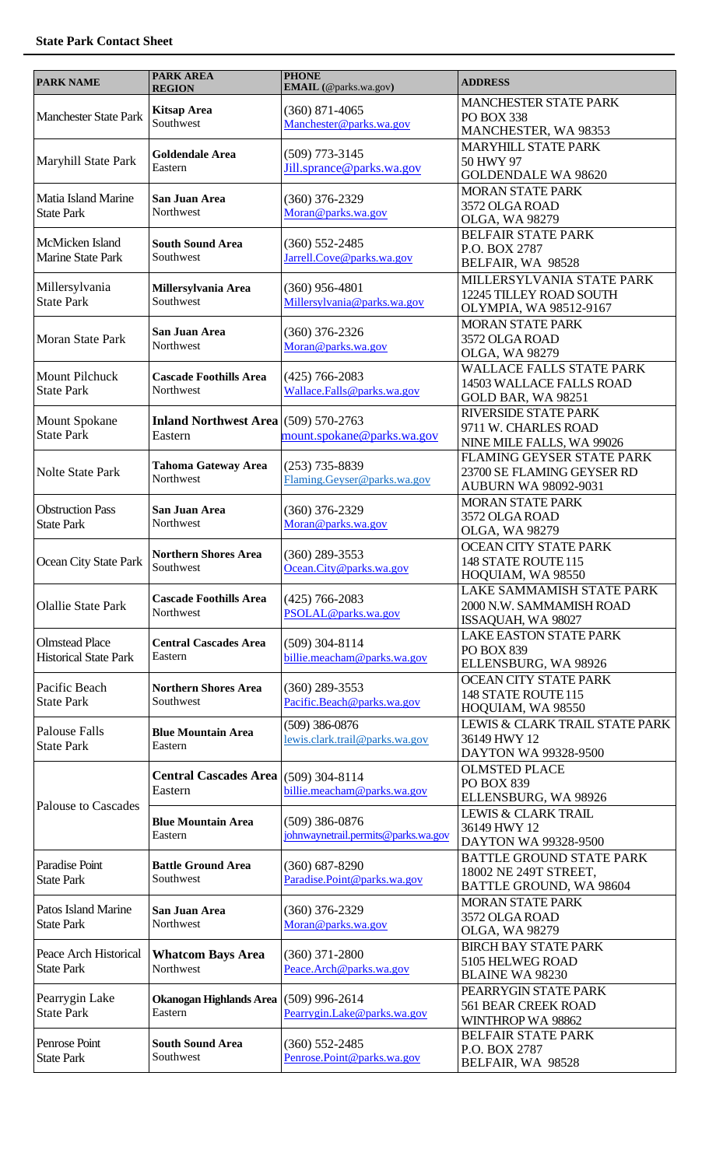| <b>PARK NAME</b>                                      | <b>PARK AREA</b><br><b>REGION</b>                 | <b>PHONE</b><br>EMAIL (@parks.wa.gov)                     | <b>ADDRESS</b>                                                                         |
|-------------------------------------------------------|---------------------------------------------------|-----------------------------------------------------------|----------------------------------------------------------------------------------------|
| <b>Manchester State Park</b>                          | <b>Kitsap Area</b><br>Southwest                   | $(360)$ 871-4065<br>Manchester@parks.wa.gov               | <b>MANCHESTER STATE PARK</b><br>PO BOX 338<br>MANCHESTER, WA 98353                     |
| Maryhill State Park                                   | <b>Goldendale Area</b><br>Eastern                 | $(509)$ 773-3145<br>Jill.sprance@parks.wa.gov             | <b>MARYHILL STATE PARK</b><br>50 HWY 97<br><b>GOLDENDALE WA 98620</b>                  |
| Matia Island Marine<br><b>State Park</b>              | San Juan Area<br>Northwest                        | $(360)$ 376-2329<br>Moran@parks.wa.gov                    | <b>MORAN STATE PARK</b><br>3572 OLGA ROAD<br>OLGA, WA 98279                            |
| McMicken Island<br>Marine State Park                  | <b>South Sound Area</b><br>Southwest              | $(360) 552 - 2485$<br>Jarrell.Cove@parks.wa.gov           | <b>BELFAIR STATE PARK</b><br>P.O. BOX 2787<br>BELFAIR, WA 98528                        |
| Millersylvania<br><b>State Park</b>                   | Millersylvania Area<br>Southwest                  | $(360)$ 956-4801<br>Millersylvania@parks.wa.gov           | MILLERSYLVANIA STATE PARK<br>12245 TILLEY ROAD SOUTH<br>OLYMPIA, WA 98512-9167         |
| Moran State Park                                      | San Juan Area<br>Northwest                        | $(360)$ 376-2326<br>Moran@parks.wa.gov                    | <b>MORAN STATE PARK</b><br>3572 OLGA ROAD<br>OLGA, WA 98279                            |
| <b>Mount Pilchuck</b><br><b>State Park</b>            | <b>Cascade Foothills Area</b><br>Northwest        | $(425)$ 766-2083<br>Wallace.Falls@parks.wa.gov            | <b>WALLACE FALLS STATE PARK</b><br>14503 WALLACE FALLS ROAD<br>GOLD BAR, WA 98251      |
| <b>Mount Spokane</b><br><b>State Park</b>             | Inland Northwest Area (509) 570-2763<br>Eastern   | mount.spokane@parks.wa.gov                                | RIVERSIDE STATE PARK<br>9711 W. CHARLES ROAD<br>NINE MILE FALLS, WA 99026              |
| <b>Nolte State Park</b>                               | <b>Tahoma Gateway Area</b><br>Northwest           | $(253)$ 735-8839<br>Flaming.Geyser@parks.wa.gov           | FLAMING GEYSER STATE PARK<br>23700 SE FLAMING GEYSER RD<br><b>AUBURN WA 98092-9031</b> |
| <b>Obstruction Pass</b><br><b>State Park</b>          | San Juan Area<br>Northwest                        | $(360)$ 376-2329<br>Moran@parks.wa.gov                    | <b>MORAN STATE PARK</b><br>3572 OLGA ROAD<br>OLGA, WA 98279                            |
| Ocean City State Park                                 | <b>Northern Shores Area</b><br>Southwest          | $(360)$ 289-3553<br>Ocean.City@parks.wa.gov               | <b>OCEAN CITY STATE PARK</b><br>148 STATE ROUTE 115<br>HOQUIAM, WA 98550               |
| <b>Olallie State Park</b>                             | <b>Cascade Foothills Area</b><br>Northwest        | $(425)$ 766-2083<br>PSOLAL@parks.wa.gov                   | LAKE SAMMAMISH STATE PARK<br>2000 N.W. SAMMAMISH ROAD<br>ISSAQUAH, WA 98027            |
| <b>Olmstead Place</b><br><b>Historical State Park</b> | <b>Central Cascades Area</b><br>Eastern           | $(509)$ 304-8114<br>billie.meacham@parks.wa.gov           | <b>LAKE EASTON STATE PARK</b><br>PO BOX 839<br>ELLENSBURG, WA 98926                    |
| Pacific Beach<br><b>State Park</b>                    | <b>Northern Shores Area</b><br>Southwest          | $(360)$ 289-3553<br>Pacific.Beach@parks.wa.gov            | <b>OCEAN CITY STATE PARK</b><br>148 STATE ROUTE 115<br>HOQUIAM, WA 98550               |
| <b>Palouse Falls</b><br><b>State Park</b>             | <b>Blue Mountain Area</b><br>Eastern              | $(509)$ 386-0876<br><u>lewis.clark.trail@parks.wa.gov</u> | LEWIS & CLARK TRAIL STATE PARK<br>36149 HWY 12<br>DAYTON WA 99328-9500                 |
| <b>Palouse to Cascades</b>                            | Central Cascades Area (509) 304-8114<br>Eastern   | billie.meacham@parks.wa.gov                               | <b>OLMSTED PLACE</b><br><b>PO BOX 839</b><br>ELLENSBURG, WA 98926                      |
|                                                       | <b>Blue Mountain Area</b><br>Eastern              | $(509)$ 386-0876<br>johnwaynetrail.permits@parks.wa.gov   | LEWIS & CLARK TRAIL<br>36149 HWY 12<br>DAYTON WA 99328-9500                            |
| Paradise Point<br><b>State Park</b>                   | <b>Battle Ground Area</b><br>Southwest            | $(360) 687 - 8290$<br>Paradise.Point@parks.wa.gov         | <b>BATTLE GROUND STATE PARK</b><br>18002 NE 249T STREET,<br>BATTLE GROUND, WA 98604    |
| <b>Patos Island Marine</b><br><b>State Park</b>       | San Juan Area<br>Northwest                        | $(360)$ 376-2329<br>Moran@parks.wa.gov                    | <b>MORAN STATE PARK</b><br>3572 OLGA ROAD<br>OLGA, WA 98279                            |
| Peace Arch Historical<br><b>State Park</b>            | <b>Whatcom Bays Area</b><br>Northwest             | $(360)$ 371-2800<br>Peace.Arch@parks.wa.gov               | <b>BIRCH BAY STATE PARK</b><br>5105 HELWEG ROAD<br><b>BLAINE WA 98230</b>              |
| Pearrygin Lake<br><b>State Park</b>                   | Okanogan Highlands Area (509) 996-2614<br>Eastern | Pearrygin.Lake@parks.wa.gov                               | PEARRYGIN STATE PARK<br><b>561 BEAR CREEK ROAD</b><br>WINTHROP WA 98862                |
| Penrose Point<br><b>State Park</b>                    | <b>South Sound Area</b><br>Southwest              | $(360) 552 - 2485$<br>Penrose.Point@parks.wa.gov          | <b>BELFAIR STATE PARK</b><br>P.O. BOX 2787<br>BELFAIR, WA 98528                        |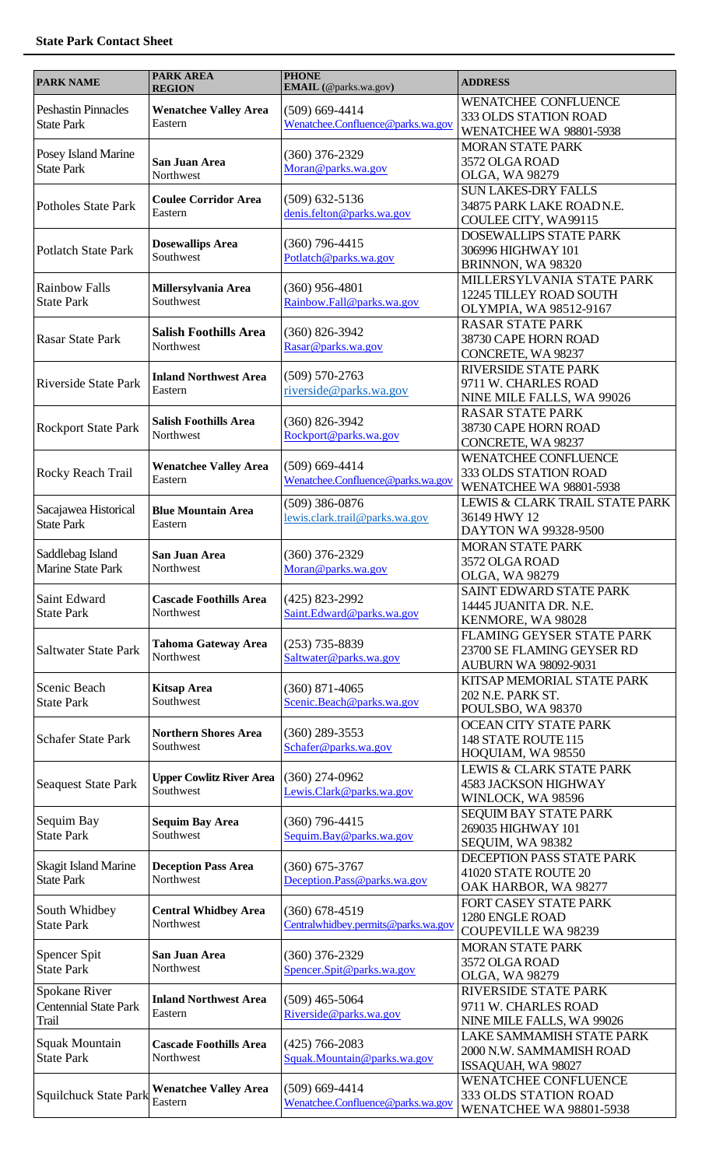| <b>PARK NAME</b>                                       | <b>PARK AREA</b><br><b>REGION</b>            | <b>PHONE</b><br>EMAIL (@parks.wa.gov)                   | <b>ADDRESS</b>                                                                          |
|--------------------------------------------------------|----------------------------------------------|---------------------------------------------------------|-----------------------------------------------------------------------------------------|
| <b>Peshastin Pinnacles</b><br><b>State Park</b>        | <b>Wenatchee Valley Area</b><br>Eastern      | $(509)$ 669-4414<br>Wenatchee.Confluence@parks.wa.gov   | WENATCHEE CONFLUENCE<br>333 OLDS STATION ROAD<br>WENATCHEE WA 98801-5938                |
| Posey Island Marine<br><b>State Park</b>               | San Juan Area<br>Northwest                   | $(360)$ 376-2329<br>Moran@parks.wa.gov                  | <b>MORAN STATE PARK</b><br>3572 OLGA ROAD<br>OLGA, WA 98279                             |
| <b>Potholes State Park</b>                             | <b>Coulee Corridor Area</b><br>Eastern       | $(509)$ 632-5136<br>denis.felton@parks.wa.gov           | <b>SUN LAKES-DRY FALLS</b><br>34875 PARK LAKE ROADN.E.<br>COULEE CITY, WA99115          |
| <b>Potlatch State Park</b>                             | <b>Dosewallips Area</b><br>Southwest         | $(360)$ 796-4415<br>Potlatch@parks.wa.gov               | DOSEWALLIPS STATE PARK<br>306996 HIGHWAY 101<br>BRINNON, WA 98320                       |
| <b>Rainbow Falls</b><br><b>State Park</b>              | Millersylvania Area<br>Southwest             | $(360)$ 956-4801<br>Rainbow.Fall@parks.wa.gov           | MILLERSYLVANIA STATE PARK<br>12245 TILLEY ROAD SOUTH<br>OLYMPIA, WA 98512-9167          |
| <b>Rasar State Park</b>                                | <b>Salish Foothills Area</b><br>Northwest    | $(360) 826 - 3942$<br>Rasar@parks.wa.gov                | <b>RASAR STATE PARK</b><br>38730 CAPE HORN ROAD<br>CONCRETE, WA 98237                   |
| <b>Riverside State Park</b>                            | <b>Inland Northwest Area</b><br>Eastern      | $(509) 570 - 2763$<br>riverside@parks.wa.gov            | RIVERSIDE STATE PARK<br>9711 W. CHARLES ROAD<br>NINE MILE FALLS, WA 99026               |
| <b>Rockport State Park</b>                             | <b>Salish Foothills Area</b><br>Northwest    | $(360) 826 - 3942$<br>Rockport@parks.wa.gov             | <b>RASAR STATE PARK</b><br>38730 CAPE HORN ROAD<br>CONCRETE, WA 98237                   |
| Rocky Reach Trail                                      | <b>Wenatchee Valley Area</b><br>Eastern      | $(509)$ 669-4414<br>Wenatchee.Confluence@parks.wa.gov   | <b>WENATCHEE CONFLUENCE</b><br>333 OLDS STATION ROAD<br>WENATCHEE WA 98801-5938         |
| Sacajawea Historical<br><b>State Park</b>              | <b>Blue Mountain Area</b><br>Eastern         | $(509)$ 386-0876<br>lewis.clark.trail@parks.wa.gov      | LEWIS & CLARK TRAIL STATE PARK<br>36149 HWY 12<br>DAYTON WA 99328-9500                  |
| Saddlebag Island<br>Marine State Park                  | San Juan Area<br>Northwest                   | $(360)$ 376-2329<br>Moran@parks.wa.gov                  | <b>MORAN STATE PARK</b><br>3572 OLGA ROAD<br>OLGA, WA 98279                             |
| Saint Edward<br><b>State Park</b>                      | <b>Cascade Foothills Area</b><br>Northwest   | $(425)$ 823-2992<br>Saint.Edward@parks.wa.gov           | SAINT EDWARD STATE PARK<br>14445 JUANITA DR. N.E.<br>KENMORE, WA 98028                  |
| <b>Saltwater State Park</b>                            | <b>Tahoma Gateway Area</b><br>Northwest      | $(253)$ 735-8839<br>Saltwater@parks.wa.gov              | FLAMING GEYSER STATE PARK<br>23700 SE FLAMING GEYSER RD<br><b>AUBURN WA 98092-9031</b>  |
| Scenic Beach<br><b>State Park</b>                      | <b>Kitsap Area</b><br>Southwest              | $(360)$ 871-4065<br>Scenic.Beach@parks.wa.gov           | KITSAP MEMORIAL STATE PARK<br>202 N.E. PARK ST.<br>POULSBO, WA 98370                    |
| <b>Schafer State Park</b>                              | <b>Northern Shores Area</b><br>Southwest     | $(360)$ 289-3553<br>Schafer@parks.wa.gov                | <b>OCEAN CITY STATE PARK</b><br>148 STATE ROUTE 115<br>HOQUIAM, WA 98550                |
| <b>Seaquest State Park</b>                             | <b>Upper Cowlitz River Area</b><br>Southwest | $(360)$ 274-0962<br>Lewis.Clark@parks.wa.gov            | <b>LEWIS &amp; CLARK STATE PARK</b><br><b>4583 JACKSON HIGHWAY</b><br>WINLOCK, WA 98596 |
| Sequim Bay<br><b>State Park</b>                        | <b>Sequim Bay Area</b><br>Southwest          | $(360)$ 796-4415<br>Sequim.Bay@parks.wa.gov             | SEQUIM BAY STATE PARK<br>269035 HIGHWAY 101<br>SEQUIM, WA 98382                         |
| Skagit Island Marine<br><b>State Park</b>              | <b>Deception Pass Area</b><br>Northwest      | $(360)$ 675-3767<br>Deception.Pass@parks.wa.gov         | DECEPTION PASS STATE PARK<br>41020 STATE ROUTE 20<br>OAK HARBOR, WA 98277               |
| South Whidbey<br><b>State Park</b>                     | <b>Central Whidbey Area</b><br>Northwest     | $(360)$ 678-4519<br>Centralwhidbey.permits@parks.wa.gov | FORT CASEY STATE PARK<br>1280 ENGLE ROAD<br><b>COUPEVILLE WA 98239</b>                  |
| Spencer Spit<br><b>State Park</b>                      | San Juan Area<br>Northwest                   | $(360)$ 376-2329<br>Spencer.Spit@parks.wa.gov           | <b>MORAN STATE PARK</b><br>3572 OLGA ROAD<br>OLGA, WA 98279                             |
| Spokane River<br><b>Centennial State Park</b><br>Trail | <b>Inland Northwest Area</b><br>Eastern      | $(509)$ 465-5064<br>Riverside@parks.wa.gov              | <b>RIVERSIDE STATE PARK</b><br>9711 W. CHARLES ROAD<br>NINE MILE FALLS, WA 99026        |
| Squak Mountain<br><b>State Park</b>                    | <b>Cascade Foothills Area</b><br>Northwest   | $(425)$ 766-2083<br>Squak.Mountain@parks.wa.gov         | LAKE SAMMAMISH STATE PARK<br>2000 N.W. SAMMAMISH ROAD<br>ISSAQUAH, WA 98027             |
| <b>Squilchuck State Park</b>                           | <b>Wenatchee Valley Area</b><br>Eastern      | $(509)$ 669-4414<br>Wenatchee.Confluence@parks.wa.gov   | <b>WENATCHEE CONFLUENCE</b><br>333 OLDS STATION ROAD<br><b>WENATCHEE WA 98801-5938</b>  |